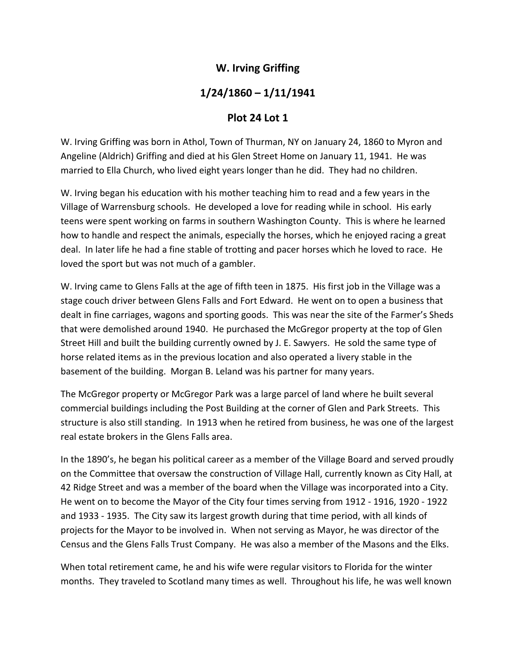## **W. Irving Griffing**

## **1/24/1860 – 1/11/1941**

## **Plot 24 Lot 1**

W. Irving Griffing was born in Athol, Town of Thurman, NY on January 24, 1860 to Myron and Angeline (Aldrich) Griffing and died at his Glen Street Home on January 11, 1941. He was married to Ella Church, who lived eight years longer than he did. They had no children.

W. Irving began his education with his mother teaching him to read and a few years in the Village of Warrensburg schools. He developed a love for reading while in school. His early teens were spent working on farms in southern Washington County. This is where he learned how to handle and respect the animals, especially the horses, which he enjoyed racing a great deal. In later life he had a fine stable of trotting and pacer horses which he loved to race. He loved the sport but was not much of a gambler.

W. Irving came to Glens Falls at the age of fifth teen in 1875. His first job in the Village was a stage couch driver between Glens Falls and Fort Edward. He went on to open a business that dealt in fine carriages, wagons and sporting goods. This was near the site of the Farmer's Sheds that were demolished around 1940. He purchased the McGregor property at the top of Glen Street Hill and built the building currently owned by J. E. Sawyers. He sold the same type of horse related items as in the previous location and also operated a livery stable in the basement of the building. Morgan B. Leland was his partner for many years.

The McGregor property or McGregor Park was a large parcel of land where he built several commercial buildings including the Post Building at the corner of Glen and Park Streets. This structure is also still standing. In 1913 when he retired from business, he was one of the largest real estate brokers in the Glens Falls area.

In the 1890's, he began his political career as a member of the Village Board and served proudly on the Committee that oversaw the construction of Village Hall, currently known as City Hall, at 42 Ridge Street and was a member of the board when the Village was incorporated into a City. He went on to become the Mayor of the City four times serving from 1912 ‐ 1916, 1920 ‐ 1922 and 1933 ‐ 1935. The City saw its largest growth during that time period, with all kinds of projects for the Mayor to be involved in. When not serving as Mayor, he was director of the Census and the Glens Falls Trust Company. He was also a member of the Masons and the Elks.

When total retirement came, he and his wife were regular visitors to Florida for the winter months. They traveled to Scotland many times as well. Throughout his life, he was well known